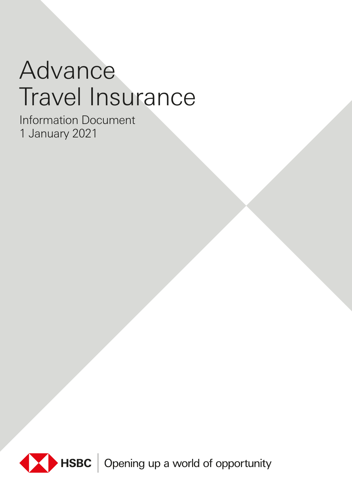# Advance Travel Insurance

Information Document 1 January 2021